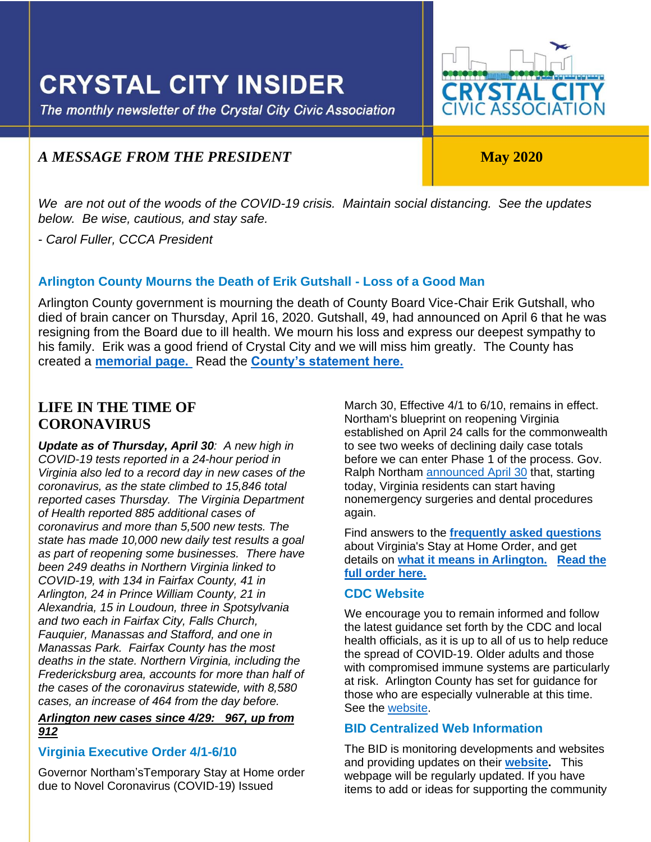## **CRYSTAL CITY INSIDER**

The monthly newsletter of the Crystal City Civic Association

# **CRYSTAL CITY**<br>CIVIC ASSOCIATION

### *A MESSAGE FROM THE PRESIDENT* May 2020

ļ

*We are not out of the woods of the COVID-19 crisis. Maintain social distancing. See the updates below. Be wise, cautious, and stay safe.*

- *Carol Fuller, CCCA President*

#### **Arlington County Mourns the Death of Erik Gutshall - Loss of a Good Man**

Arlington County government is mourning the death of County Board Vice-Chair Erik Gutshall, who died of brain cancer on Thursday, April 16, 2020. Gutshall, 49, had announced on April 6 that he was resigning from the Board due to ill health. We mourn his loss and express our deepest sympathy to his family. Erik was a good friend of Crystal City and we will miss him greatly. The County has created a **[memorial page.](https://countyboard.arlingtonva.us/remembering-erik/)** Read the **[County's statement here.](https://newsroom.arlingtonva.us/release/arlington-county-mourns-the-death-of-erik-gutshall/)**

#### **LIFE IN THE TIME OF CORONAVIRUS**

*Update as of Thursday, April 30: A new high in COVID-19 tests reported in a 24-hour period in Virginia also led to a record day in new cases of the coronavirus, as the state climbed to 15,846 total reported cases Thursday. The Virginia Department of Health reported 885 additional cases of coronavirus and more than 5,500 new tests. The state has made 10,000 new daily test results a goal as part of reopening some businesses. There have been 249 deaths in Northern Virginia linked to COVID-19, with 134 in Fairfax County, 41 in Arlington, 24 in Prince William County, 21 in Alexandria, 15 in Loudoun, three in Spotsylvania and two each in Fairfax City, Falls Church, Fauquier, Manassas and Stafford, and one in Manassas Park. Fairfax County has the most deaths in the state. Northern Virginia, including the Fredericksburg area, accounts for more than half of the cases of the coronavirus statewide, with 8,580 cases, an increase of 464 from the day before.*

#### *Arlington new cases since 4/29: 967, up from 912*

#### **Virginia Executive Order 4/1-6/10**

Governor Northam'sTemporary Stay at Home order due to Novel Coronavirus (COVID-19) Issued

March 30, Effective 4/1 to 6/10, remains in effect. Northam's blueprint on reopening Virginia established on April 24 calls for the commonwealth to see two weeks of declining daily case totals before we can enter Phase 1 of the process. Gov. Ralph Northam [announced April 30](https://lnks.gd/l/eyJhbGciOiJIUzI1NiJ9.eyJidWxsZXRpbl9saW5rX2lkIjoxMTgsInVyaSI6ImJwMjpjbGljayIsImJ1bGxldGluX2lkIjoiMjAyMDA0MzAuMjA4OTIxNTEiLCJ1cmwiOiJodHRwczovL3R3aXR0ZXIuY29tL0dvdmVybm9yVkEvc3RhdHVzLzEyNTU1OTAyNzIxMjczNzMzMjIifQ.2kDF-owalFadSm2oOTp9ZEw2jiYXcwqnYUfiibA6_14/br/78092960257-l) that, starting today, Virginia residents can start having nonemergency surgeries and dental procedures again.

Find answers to the **[frequently asked questions](https://lnks.gd/l/eyJhbGciOiJIUzI1NiJ9.eyJidWxsZXRpbl9saW5rX2lkIjoxMDMsInVyaSI6ImJwMjpjbGljayIsImJ1bGxldGluX2lkIjoiMjAyMDAzMzEuMTk1NjQ4NTEiLCJ1cmwiOiJodHRwczovL3d3dy52aXJnaW5pYS5nb3YvY29yb25hdmlydXMvZmFxLyJ9.ZisgQfN8xb-khBgrPo-RUXDoA4t1DAZAtKM1kUUUayk/br/76859230538-l)** about Virginia's Stay at Home Order, and get details on **[what it means in Arlington.](https://lnks.gd/l/eyJhbGciOiJIUzI1NiJ9.eyJidWxsZXRpbl9saW5rX2lkIjoxMDQsInVyaSI6ImJwMjpjbGljayIsImJ1bGxldGluX2lkIjoiMjAyMDAzMzEuMTk1NjQ4NTEiLCJ1cmwiOiJodHRwczovL25ld3Nyb29tLmFybGluZ3RvbnZhLnVzL3JlbGVhc2UvYXJsaW5ndG9uLXJlcXVpcmVzLWNvbXBsaWFuY2Utd2l0aC1nb3Zlcm5vcnMtc3RheS1hdC1ob21lLW9yZGVyLyJ9.iiGB-GI2x6Cup7_RBF294i2l66AGw5o1C1NayI6YY8w/br/76859230538-l) [Read the](https://www.governor.virginia.gov/media/governorvirginiagov/executive-actions/EO-55-Temporary-Stay-at-Home-Order-Due-to-Novel-Coronavirus-(COVID-19).pdf)  [full order here.](https://www.governor.virginia.gov/media/governorvirginiagov/executive-actions/EO-55-Temporary-Stay-at-Home-Order-Due-to-Novel-Coronavirus-(COVID-19).pdf)**

#### **CDC Website**

We encourage you to remain informed and follow the latest guidance set forth by the CDC and local health officials, as it is up to all of us to help reduce the spread of COVID-19. Older adults and those with compromised immune systems are particularly at risk. Arlington County has set for guidance for those who are especially vulnerable at this time. See the [website.](https://www.cdc.gov/coronavirus/2019-ncov/index.html)

#### **BID Centralized Web Information**

The BID is monitoring developments and websites and providing updates on their **[website.](https://www.crystalcity.org/covid-19)** This webpage will be regularly updated. If you have items to add or ideas for supporting the community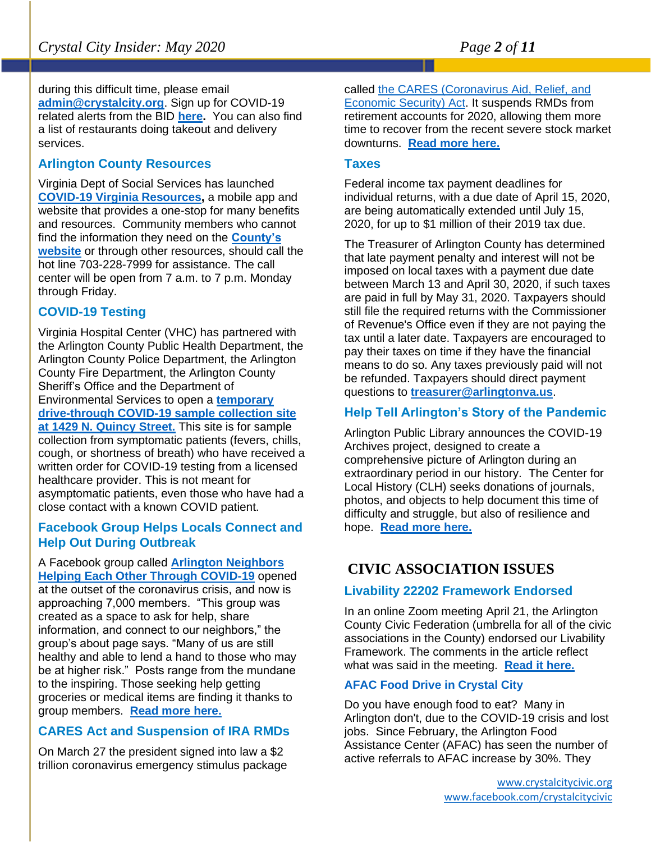during this difficult time, please email **[admin@crystalcity.org](file:///C:/Users/cfull/Downloads/admin@crystalcity.org)**. Sign up for COVID-19 related alerts from the BID **[here.](https://www.crystalcity.org/subscribe)** You can also find a list of restaurants doing takeout and delivery services.

#### **Arlington County Resources**

Virginia Dept of Social Services has launched **[COVID-19 Virginia Resources,](https://lnks.gd/l/eyJhbGciOiJIUzI1NiJ9.eyJidWxsZXRpbl9saW5rX2lkIjoxMTUsInVyaSI6ImJwMjpjbGljayIsImJ1bGxldGluX2lkIjoiMjAyMDA0MzAuMjA4OTIxNTEiLCJ1cmwiOiJodHRwczovL2NvdmlkLnZpcmdpbmlhLmdvdi8ifQ.fhgfPVfnP0jBKd_FajooM_KYbHrOyi8TUtK-vbadqaw/br/78092960257-l)** a mobile app and website that provides a one-stop for many benefits and resources. Community members who cannot find the information they need on the **[County's](https://nam03.safelinks.protection.outlook.com/?url=https%3A%2F%2Flnks.gd%2Fl%2FeyJhbGciOiJIUzI1NiJ9.eyJidWxsZXRpbl9saW5rX2lkIjoxMDAsInVyaSI6ImJwMjpjbGljayIsImJ1bGxldGluX2lkIjoiMjAyMDAzMTguMTg5NTg1NzEiLCJ1cmwiOiJodHRwczovL2hlYWx0aC5hcmxpbmd0b252YS51cy9jb3ZpZC0xOS1jb3JvbmF2aXJ1cy11cGRhdGVzLyJ9.xWMkU5Mro5Dy59Ew-3ypoAP9rw67Ff4rgnG3Co5qkQk%2Fbr%2F76315552537-l&data=02%7C01%7Cttucker%40arlingtonva.us%7Cd520ba11c6c14b1ba46608d7cc0edd6b%7C803548041fdf428e9f5f5091e994cf54%7C0%7C0%7C637202236530360393&sdata=dpBGblCBQudUejnw1K%2Fc5BYKtFWb1Wi58FIvd2s%2Bcjs%3D&reserved=0)  [website](https://nam03.safelinks.protection.outlook.com/?url=https%3A%2F%2Flnks.gd%2Fl%2FeyJhbGciOiJIUzI1NiJ9.eyJidWxsZXRpbl9saW5rX2lkIjoxMDAsInVyaSI6ImJwMjpjbGljayIsImJ1bGxldGluX2lkIjoiMjAyMDAzMTguMTg5NTg1NzEiLCJ1cmwiOiJodHRwczovL2hlYWx0aC5hcmxpbmd0b252YS51cy9jb3ZpZC0xOS1jb3JvbmF2aXJ1cy11cGRhdGVzLyJ9.xWMkU5Mro5Dy59Ew-3ypoAP9rw67Ff4rgnG3Co5qkQk%2Fbr%2F76315552537-l&data=02%7C01%7Cttucker%40arlingtonva.us%7Cd520ba11c6c14b1ba46608d7cc0edd6b%7C803548041fdf428e9f5f5091e994cf54%7C0%7C0%7C637202236530360393&sdata=dpBGblCBQudUejnw1K%2Fc5BYKtFWb1Wi58FIvd2s%2Bcjs%3D&reserved=0)** or through other resources, should call the hot line 703-228-7999 for assistance. The call center will be open from 7 a.m. to 7 p.m. Monday through Friday.

#### **COVID-19 Testing**

Virginia Hospital Center (VHC) has partnered with the Arlington County Public Health Department, the Arlington County Police Department, the Arlington County Fire Department, the Arlington County Sheriff's Office and the Department of Environmental Services to open a **[temporary](https://www.virginiahospitalcenter.com/)  [drive-through COVID-19 sample collection site](https://www.virginiahospitalcenter.com/)  [at 1429 N. Quincy Street.](https://www.virginiahospitalcenter.com/)** This site is for sample collection from symptomatic patients (fevers, chills, cough, or shortness of breath) who have received a written order for COVID-19 testing from a licensed healthcare provider. This is not meant for asymptomatic patients, even those who have had a close contact with a known COVID patient.

#### **Facebook Group Helps Locals Connect and Help Out During Outbreak**

A Facebook group called **[Arlington Neighbors](https://www.facebook.com/groups/212126776694852/)  [Helping Each Other Through COVID-19](https://www.facebook.com/groups/212126776694852/)** opened at the outset of the coronavirus crisis, and now is approaching 7,000 members. "This group was created as a space to ask for help, share information, and connect to our neighbors," the group's about page says. "Many of us are still healthy and able to lend a hand to those who may be at higher risk." Posts range from the mundane to the inspiring. Those seeking help getting groceries or medical items are finding it thanks to group members. **[Read more](https://www.arlnow.com/2020/03/31/facebook-group-helps-locals-connect-and-help-out-during-outbreak/?mc_cid=3c2dcf2e52&mc_eid=e22d65c5c2) here.**

#### **CARES Act and Suspension of IRA RMDs**

On March 27 the president signed into law a \$2 trillion coronavirus emergency stimulus package called the [CARES \(Coronavirus Aid, Relief, and](https://www.investopedia.com/what-s-in-the-usd2-trillion-coronavirus-stimulus-bill-4800882)  [Economic Security\) Act.](https://www.investopedia.com/what-s-in-the-usd2-trillion-coronavirus-stimulus-bill-4800882) It suspends RMDs from retirement accounts for 2020, allowing them more time to recover from the recent severe stock market downturns. **[Read more here.](https://www.npr.org/2020/03/26/821457551/whats-inside-the-senate-s-2-trillion-coronavirus-aid-package)**

#### **Taxes**

Federal income tax payment deadlines for individual returns, with a due date of April 15, 2020, are being automatically extended until July 15, 2020, for up to \$1 million of their 2019 tax due.

The Treasurer of Arlington County has determined that late payment penalty and interest will not be imposed on local taxes with a payment due date between March 13 and April 30, 2020, if such taxes are paid in full by May 31, 2020. Taxpayers should still file the required returns with the Commissioner of Revenue's Office even if they are not paying the tax until a later date. Taxpayers are encouraged to pay their taxes on time if they have the financial means to do so. Any taxes previously paid will not be refunded. Taxpayers should direct payment questions to **[treasurer@arlingtonva.us](mailto:treasurer@arlingtonva.us)**.

#### **Help Tell Arlington's Story of the Pandemic**

Arlington Public Library announces the COVID-19 Archives project, designed to create a comprehensive picture of Arlington during an extraordinary period in our history. The Center for Local History (CLH) seeks donations of journals, photos, and objects to help document this time of difficulty and struggle, but also of resilience and hope. **[Read more here.](https://newsroom.arlingtonva.us/release/covid19-archives-project-library/)**

## **CIVIC ASSOCIATION ISSUES**

#### **Livability 22202 Framework Endorsed**

In an online Zoom meeting April 21, the Arlington County Civic Federation (umbrella for all of the civic associations in the County) endorsed our Livability Framework. The comments in the article reflect what was said in the meeting. **[Read it here.](https://www.insidenova.com/news/arlington/civic-federation-backs-action-plan-to-address-livability-near-amazon/article_641e0cf4-855b-11ea-8a0c-a3a2578d72e1.html)**

#### **AFAC Food Drive in Crystal City**

Do you have enough food to eat? Many in Arlington don't, due to the COVID-19 crisis and lost jobs. Since February, the Arlington Food Assistance Center (AFAC) has seen the number of active referrals to AFAC increase by 30%. They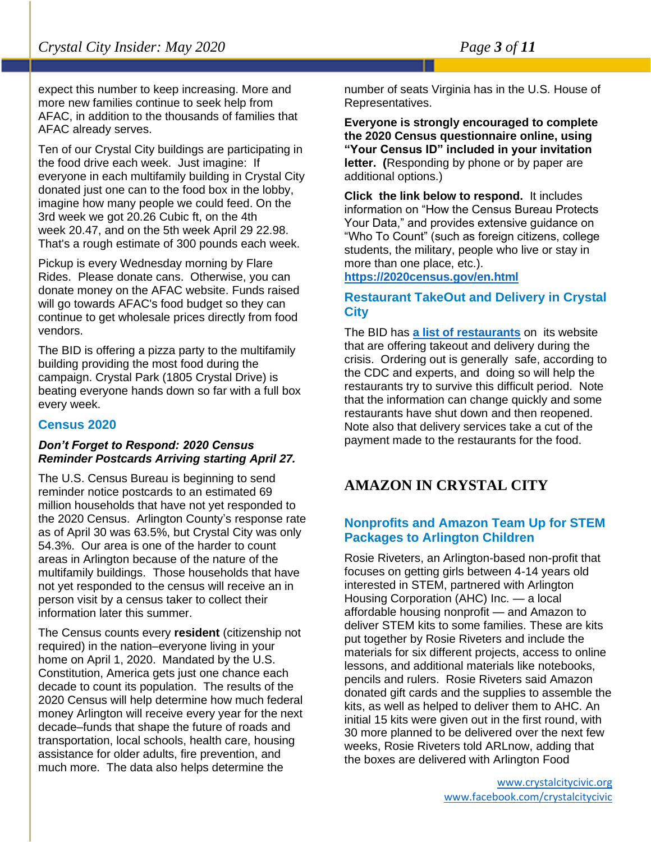expect this number to keep increasing. More and more new families continue to seek help from AFAC, in addition to the thousands of families that AFAC already serves.

Ten of our Crystal City buildings are participating in the food drive each week. Just imagine: If everyone in each multifamily building in Crystal City donated just one can to the food box in the lobby, imagine how many people we could feed. On the 3rd week we got 20.26 Cubic ft, on the 4th week 20.47, and on the 5th week April 29 22.98. That's a rough estimate of 300 pounds each week.

Pickup is every Wednesday morning by Flare Rides. Please donate cans. Otherwise, you can donate money on the AFAC website. Funds raised will go towards AFAC's food budget so they can continue to get wholesale prices directly from food vendors.

The BID is offering a pizza party to the multifamily building providing the most food during the campaign. Crystal Park (1805 Crystal Drive) is beating everyone hands down so far with a full box every week.

#### **Census 2020**

#### *Don't Forget to Respond: 2020 Census Reminder Postcards Arriving starting April 27.*

The U.S. Census Bureau is beginning to send reminder notice postcards to an estimated 69 million households that have not yet responded to the 2020 Census. Arlington County's response rate as of April 30 was 63.5%, but Crystal City was only 54.3%. Our area is one of the harder to count areas in Arlington because of the nature of the multifamily buildings. Those households that have not yet responded to the census will receive an in person visit by a census taker to collect their information later this summer.

The Census counts every **resident** (citizenship not required) in the nation–everyone living in your home on April 1, 2020. Mandated by the U.S. Constitution, America gets just one chance each decade to count its population. The results of the 2020 Census will help determine how much federal money Arlington will receive every year for the next decade–funds that shape the future of roads and transportation, local schools, health care, housing assistance for older adults, fire prevention, and much more. The data also helps determine the

number of seats Virginia has in the U.S. House of Representatives.

**Everyone is strongly encouraged to complete the 2020 Census questionnaire online, using "Your Census ID" included in your invitation letter. (**Responding by phone or by paper are additional options.)

**Click the link below to respond.** It includes information on "How the Census Bureau Protects Your Data," and provides extensive guidance on "Who To Count" (such as foreign citizens, college students, the military, people who live or stay in more than one place, etc.).

**<https://2020census.gov/en.html>**

#### **Restaurant TakeOut and Delivery in Crystal City**

The BID has **[a list of restaurants](https://www.crystalcity.org/delivery)** on its website that are offering takeout and delivery during the crisis. Ordering out is generally safe, according to the CDC and experts, and doing so will help the restaurants try to survive this difficult period. Note that the information can change quickly and some restaurants have shut down and then reopened. Note also that delivery services take a cut of the payment made to the restaurants for the food.

#### **AMAZON IN CRYSTAL CITY**

#### **Nonprofits and Amazon Team Up for STEM Packages to Arlington Children**

Rosie Riveters, an Arlington-based non-profit that focuses on getting girls between 4-14 years old interested in STEM, partnered with Arlington Housing Corporation (AHC) Inc. — a local affordable housing nonprofit — and Amazon to deliver STEM kits to some families. These are kits put together by Rosie Riveters and include the materials for six different projects, access to online lessons, and additional materials like notebooks, pencils and rulers. Rosie Riveters said Amazon donated gift cards and the supplies to assemble the kits, as well as helped to deliver them to AHC. An initial 15 kits were given out in the first round, with 30 more planned to be delivered over the next few weeks, Rosie Riveters told ARLnow, adding that the boxes are delivered with Arlington Food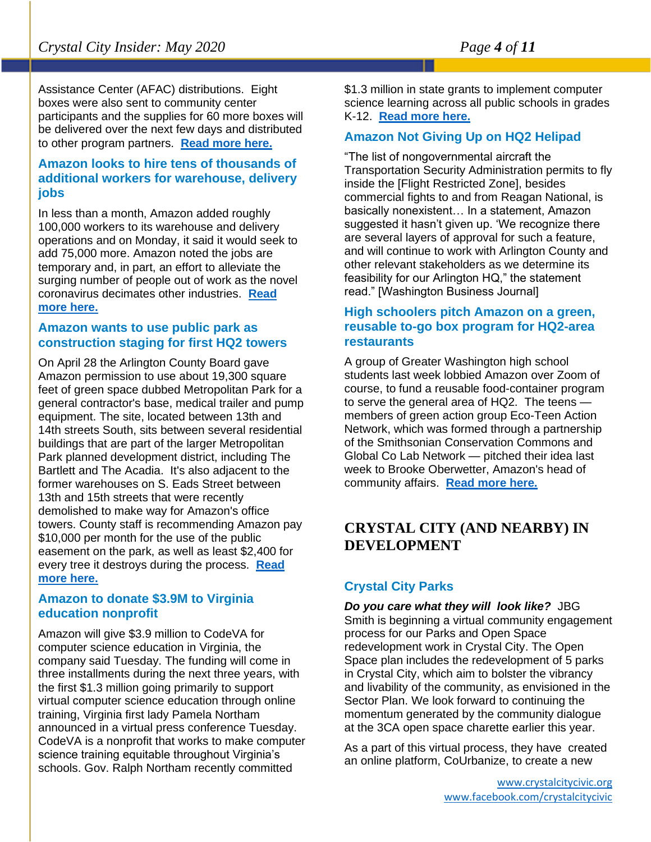Assistance Center (AFAC) distributions. Eight boxes were also sent to community center participants and the supplies for 60 more boxes will be delivered over the next few days and distributed to other program partners. **[Read more here.](https://www.arlnow.com/2020/04/29/nonprofits-and-amazon-team-up-for-stem-packages-to-arlington-children/?mc_cid=33666853cd&mc_eid=e22d65c5c2)**

#### **Amazon looks to hire tens of thousands of additional workers for warehouse, delivery jobs**

In less than a month, Amazon added roughly 100,000 workers to its warehouse and delivery operations and on Monday, it said it would seek to add 75,000 more. Amazon noted the jobs are temporary and, in part, an effort to alleviate the surging number of people out of work as the novel coronavirus decimates other industries. **[Read](https://www.bizjournals.com/washington/news/2020/04/14/amazon-looks-to-hire-tens-of-thousands.html?ana=e_ae_set1&j=90504065&t=Afternoon&mkt_tok=eyJpIjoiTTJGbE1XWmhOemRsWXpFMCIsInQiOiJYRlUwaUZMRFF4SmtaOVwvb0Q2RFY3bXVBYVVCU0pJeTlTaXVxcUZMVlRqdVwvVHFOK3JoNU5lMUdtZE5SRVUwTWJWREJVR01WOE5nTFNsMkZETTh6VmZMSHdRREFVK2xMMHpqd0tHcXNDK1FlUHd1N3g3Z1Q3c1Zya0REUGVHdTdMIn0%3D)  [more here.](https://www.bizjournals.com/washington/news/2020/04/14/amazon-looks-to-hire-tens-of-thousands.html?ana=e_ae_set1&j=90504065&t=Afternoon&mkt_tok=eyJpIjoiTTJGbE1XWmhOemRsWXpFMCIsInQiOiJYRlUwaUZMRFF4SmtaOVwvb0Q2RFY3bXVBYVVCU0pJeTlTaXVxcUZMVlRqdVwvVHFOK3JoNU5lMUdtZE5SRVUwTWJWREJVR01WOE5nTFNsMkZETTh6VmZMSHdRREFVK2xMMHpqd0tHcXNDK1FlUHd1N3g3Z1Q3c1Zya0REUGVHdTdMIn0%3D)**

#### **Amazon wants to use public park as construction staging for first HQ2 towers**

On April 28 the Arlington County Board gave Amazon permission to use about 19,300 square feet of green space dubbed Metropolitan Park for a general contractor's base, medical trailer and pump equipment. The site, located between 13th and 14th streets South, sits between several residential buildings that are part of the larger Metropolitan Park planned development district, including The Bartlett and The Acadia. It's also adjacent to the former warehouses on S. Eads Street between 13th and 15th streets that were recently demolished to make way for Amazon's office towers. County staff is recommending Amazon pay \$10,000 per month for the use of the public easement on the park, as well as least \$2,400 for every tree it destroys during the process. **[Read](https://www.bizjournals.com/washington/news/2020/04/27/amazon-wants-to-use-public-park-as-construction.html?ana=e_ae_set1&j=90505799&t=Afternoon&mkt_tok=eyJpIjoiWldVNVpXTmtOVEUwWTJGaiIsInQiOiJuOUlIV3VzRkM4ak9DRkZVQkpTWHVOR1Z3WFdFOHVXRDV1cGlxSXRobEcxVVgrdzJHT3Z1amhSYmdjMVJRMGtBTHU1cE1EZ2tXbkZtOHR1OU1aMGJadkxqUHZETExVWTA2emdyZENkd3ZFc1BRQzNOQlhIUjQxWTZjNjl4Y1pqciJ9)  [more here.](https://www.bizjournals.com/washington/news/2020/04/27/amazon-wants-to-use-public-park-as-construction.html?ana=e_ae_set1&j=90505799&t=Afternoon&mkt_tok=eyJpIjoiWldVNVpXTmtOVEUwWTJGaiIsInQiOiJuOUlIV3VzRkM4ak9DRkZVQkpTWHVOR1Z3WFdFOHVXRDV1cGlxSXRobEcxVVgrdzJHT3Z1amhSYmdjMVJRMGtBTHU1cE1EZ2tXbkZtOHR1OU1aMGJadkxqUHZETExVWTA2emdyZENkd3ZFc1BRQzNOQlhIUjQxWTZjNjl4Y1pqciJ9)**

#### **Amazon to donate \$3.9M to Virginia education nonprofit**

Amazon will give \$3.9 million to CodeVA for computer science education in Virginia, the company said Tuesday. The funding will come in three installments during the next three years, with the first \$1.3 million going primarily to support virtual computer science education through online training, Virginia first lady Pamela Northam announced in a virtual press conference Tuesday. CodeVA is a nonprofit that works to make computer science training equitable throughout Virginia's schools. Gov. Ralph Northam recently committed

\$1.3 million in state grants to implement computer science learning across all public schools in grades K-12. **[Read more here.](https://www.bizjournals.com/washington/news/2020/04/28/amazon-to-donate-3-9m-to-virginia-education.html?ana=e_me_set4&j=90506031&t=Morning&mkt_tok=eyJpIjoiTXpabFpqTmpZelJpTVRZNSIsInQiOiJ1Z0NoSTNCM1RHUFlUQ1lQalRPcHJ1RlB1OXV5UTV0WVdKUDNsNUpCc1pKSkJuRUxlWWQzdHlzb2c2YWpQS2d6QXNYZUhFZUJiNUdFd050ZEhNektWYnJ5VW1UbUZZenZCXC9OcWh0TW14b1psZU8xV2szbkt6UG9ETzlid251angifQ%3D%3D)**

#### **Amazon Not Giving Up on HQ2 Helipad**

"The list of nongovernmental aircraft the Transportation Security Administration permits to fly inside the [Flight Restricted Zone], besides commercial fights to and from Reagan National, is basically nonexistent… In a statement, Amazon suggested it hasn't given up. 'We recognize there are several layers of approval for such a feature, and will continue to work with Arlington County and other relevant stakeholders as we determine its feasibility for our Arlington HQ," the statement read." [Washington Business Journal]

#### **High schoolers pitch Amazon on a green, reusable to-go box program for HQ2-area restaurants**

A group of Greater Washington high school students last week lobbied Amazon over Zoom of course, to fund a reusable food-container program to serve the general area of HQ2. The teens members of green action group Eco-Teen Action Network, which was formed through a partnership of the Smithsonian Conservation Commons and Global Co Lab Network — pitched their idea last week to Brooke Oberwetter, Amazon's head of community affairs. **[Read more here.](https://www.bizjournals.com/washington/news/2020/04/07/d-c-area-high-schoolers-pitch-amazon-on-a-green.html?ana=e_me_set1&j=90503140&t=Morning&mkt_tok=eyJpIjoiWXpZM05HUmhaVFkyTUdRdyIsInQiOiJlT3FONGVaYW03QlVuK0cyT21HNTFrOUtVanFSZ1V2YlRRYTU1SmZWRTZKQ25kRjliY1lDNHJTRlB4MXZEd2g2cyt2Q2ZQQm11YmtyRnJQbXFhblN6WjcyTmJmUVE2N0pmN25RTDF5NUtUNSswb1dpTGtFbmtkRGhNMjNzdUFpbCJ9)**

#### **CRYSTAL CITY (AND NEARBY) IN DEVELOPMENT**

#### **Crystal City Parks**

*Do you care what they will look like?* JBG Smith is beginning a virtual community engagement process for our Parks and Open Space redevelopment work in Crystal City. The Open Space plan includes the redevelopment of 5 parks in Crystal City, which aim to bolster the vibrancy and livability of the community, as envisioned in the Sector Plan. We look forward to continuing the momentum generated by the community dialogue at the 3CA open space charette earlier this year.

As a part of this virtual process, they have created an online platform, CoUrbanize, to create a new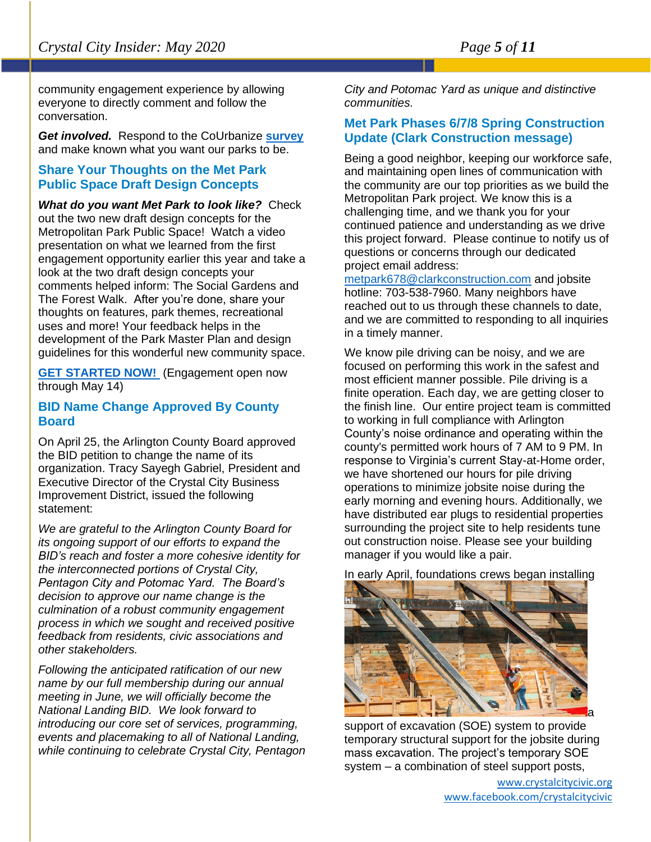community engagement experience by allowing everyone to directly comment and follow the conversation.

*Get involved.* Respond to the CoUrbanize **[survey](http://courb.co/ccparks)** and make known what you want our parks to be.

#### **Share Your Thoughts on the Met Park Public Space Draft Design Concepts**

*What do you want Met Park to look like?* Check out the two new draft design concepts for the Metropolitan Park Public Space! Watch a video presentation on what we learned from the first engagement opportunity earlier this year and take a look at the two draft design concepts your comments helped inform: The Social Gardens and The Forest Walk. After you're done, share your thoughts on features, park themes, recreational uses and more! Your feedback helps in the development of the Park Master Plan and design guidelines for this wonderful new community space.

**[GET STARTED NOW!](https://engage.arlingtonva.us/engagement-initiatives/share-your-thoughts-met-park-public-space-draft-design-concepts)** (Engagement open now through May 14)

#### **BID Name Change Approved By County Board**

On April 25, the Arlington County Board approved the BID petition to change the name of its organization. Tracy Sayegh Gabriel, President and Executive Director of the Crystal City Business Improvement District, issued the following statement:

*We are grateful to the Arlington County Board for its ongoing support of our efforts to expand the BID's reach and foster a more cohesive identity for the interconnected portions of Crystal City, Pentagon City and Potomac Yard. The Board's decision to approve our name change is the culmination of a robust community engagement process in which we sought and received positive feedback from residents, civic associations and other stakeholders.*

*Following the anticipated ratification of our new name by our full membership during our annual meeting in June, we will officially become the National Landing BID. We look forward to introducing our core set of services, programming, events and placemaking to all of National Landing, while continuing to celebrate Crystal City, Pentagon*  *City and Potomac Yard as unique and distinctive communities.*

#### **Met Park Phases 6/7/8 Spring Construction Update (Clark Construction message)**

Being a good neighbor, keeping our workforce safe, and maintaining open lines of communication with the community are our top priorities as we build the Metropolitan Park project. We know this is a challenging time, and we thank you for your continued patience and understanding as we drive this project forward. Please continue to notify us of questions or concerns through our dedicated project email address:

[metpark678@clarkconstruction.com](mailto:metpark678@clarkconstruction.com) and jobsite hotline: 703-538-7960. Many neighbors have reached out to us through these channels to date, and we are committed to responding to all inquiries in a timely manner.

We know pile driving can be noisy, and we are focused on performing this work in the safest and most efficient manner possible. Pile driving is a finite operation. Each day, we are getting closer to the finish line. Our entire project team is committed to working in full compliance with Arlington County's noise ordinance and operating within the county's permitted work hours of 7 AM to 9 PM. In response to Virginia's current Stay-at-Home order, we have shortened our hours for pile driving operations to minimize jobsite noise during the early morning and evening hours. Additionally, we have distributed ear plugs to residential properties surrounding the project site to help residents tune out construction noise. Please see your building manager if you would like a pair.

In early April, foundations crews began installing



support of excavation (SOE) system to provide temporary structural support for the jobsite during mass excavation. The project's temporary SOE system – a combination of steel support posts,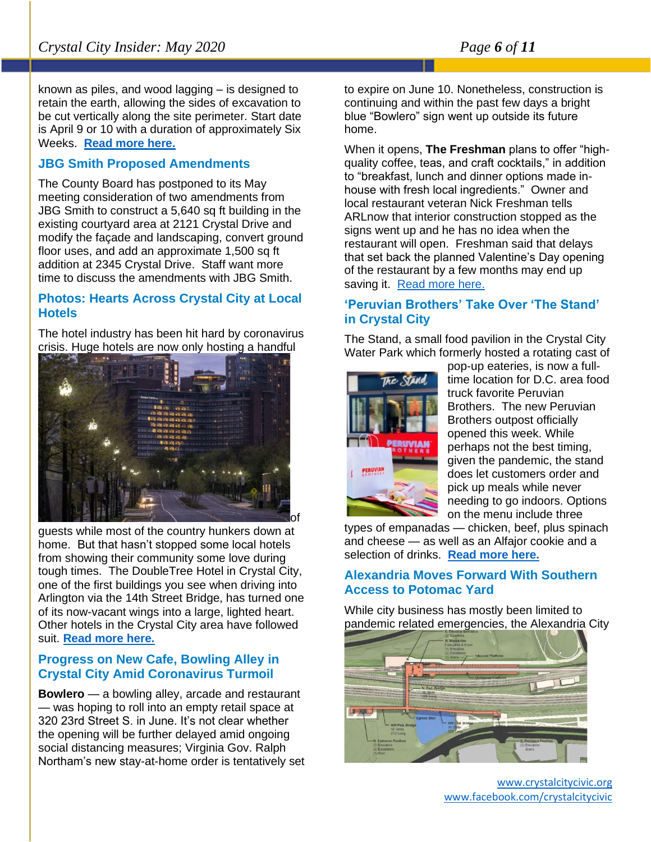known as piles, and wood lagging – is designed to retain the earth, allowing the sides of excavation to be cut vertically along the site perimeter. Start date is April 9 or 10 with a duration of approximately Six Weeks. **[Read more here.](https://mail.google.com/mail/u/0/#inbox/FMfcgxwHMjmHbNRKlNQVmHxbLhWJHXvb)**

#### **JBG Smith Proposed Amendments**

The County Board has postponed to its May meeting consideration of two amendments from JBG Smith to construct a 5,640 sq ft building in the existing courtyard area at 2121 Crystal Drive and modify the façade and landscaping, convert ground floor uses, and add an approximate 1,500 sq ft addition at 2345 Crystal Drive. Staff want more time to discuss the amendments with JBG Smith.

#### **Photos: Hearts Across Crystal City at Local Hotels**

The hotel industry has been hit hard by coronavirus crisis. Huge hotels are now only hosting a handful



guests while most of the country hunkers down at home. But that hasn't stopped some local hotels from showing their community some love during tough times. The DoubleTree Hotel in Crystal City, one of the first buildings you see when driving into Arlington via the 14th Street Bridge, has turned one of its now-vacant wings into a large, lighted heart. Other hotels in the Crystal City area have followed suit. **[Read more here.](https://www.arlnow.com/2020/04/08/photos-hearts-across-crystal-city-at-local-hotels/?mc_cid=046763e566&mc_eid=e22d65c5c2)**

#### **Progress on New Cafe, Bowling Alley in Crystal City Amid Coronavirus Turmoil**

**Bowlero** — a bowling alley, arcade and restaurant — was hoping to roll into an empty retail space at 320 23rd Street S. in June. It's not clear whether the opening will be further delayed amid ongoing social distancing measures; Virginia Gov. Ralph Northam's new stay-at-home order is tentatively set to expire on June 10. Nonetheless, construction is continuing and within the past few days a bright blue "Bowlero" sign went up outside its future home.

When it opens, **The Freshman** plans to offer "highquality coffee, teas, and craft cocktails," in addition to "breakfast, lunch and dinner options made inhouse with fresh local ingredients." Owner and local restaurant veteran Nick Freshman tells ARLnow that interior construction stopped as the signs went up and he has no idea when the restaurant will open. Freshman said that delays that set back the planned Valentine's Day opening of the restaurant by a few months may end up saving it. [Read more here.](https://www.arlnow.com/2020/04/02/progress-on-new-cafe-bowling-alley-in-crystal-city-amid-coronavirus-turmoil/?mc_cid=4ab63a1fc1&mc_eid=e22d65c5c2)

#### **'Peruvian Brothers' Take Over 'The Stand' in Crystal City**

The Stand, a small food pavilion in the Crystal City Water Park which formerly hosted a rotating cast of



pop-up eateries, is now a fulltime location for D.C. area food truck favorite Peruvian Brothers. The new Peruvian Brothers outpost officially opened this week. While perhaps not the best timing, given the pandemic, the stand does let customers order and pick up meals while never needing to go indoors. Options on the menu include three

types of empanadas — chicken, beef, plus spinach and cheese — as well as an Alfajor cookie and a selection of drinks. **[Read more here.](https://www.arlnow.com/2020/04/08/peruvian-brothers-take-over-the-stand-in-crystal-city/?mc_cid=046763e566&mc_eid=e22d65c5c2)**

#### **Alexandria Moves Forward With Southern Access to Potomac Yard**

While city business has mostly been limited to pandemic related emergencies, the Alexandria City



[www.crystalcitycivic.org](http://www.crystalcitycivic.org/) [www.facebook.com/crystalcitycivic](http://www.facebook.com/crystalcitycivic)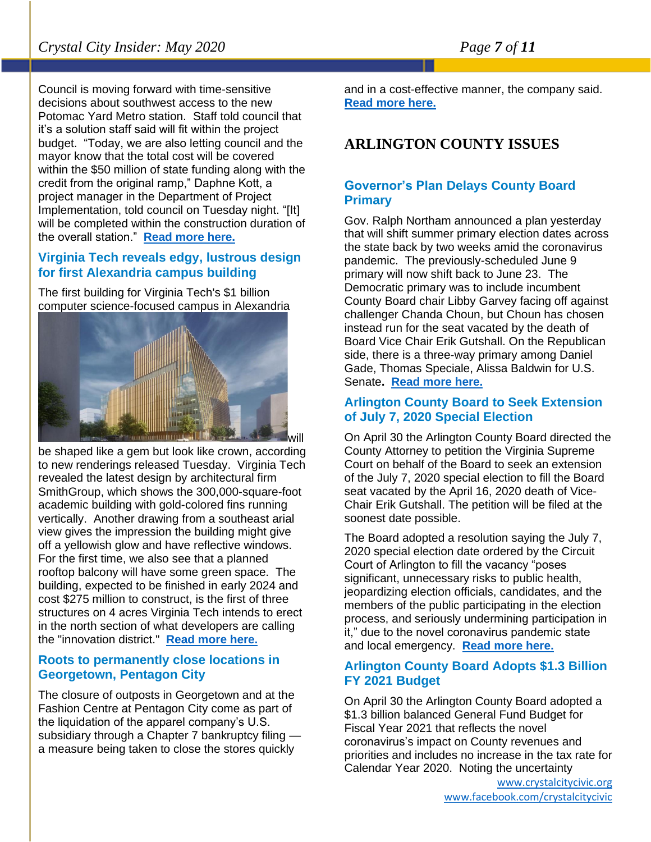Council is moving forward with time-sensitive decisions about southwest access to the new Potomac Yard Metro station. Staff told council that it's a solution staff said will fit within the project budget. "Today, we are also letting council and the mayor know that the total cost will be covered within the \$50 million of state funding along with the credit from the original ramp," Daphne Kott, a project manager in the Department of Project Implementation, told council on Tuesday night. "[It] will be completed within the construction duration of the overall station." **[Read more here.](https://www.alxnow.com/2020/04/16/alexandria-moves-forward-with-southern-access-to-potomac-yard/?mc_cid=c8821b6e27&mc_eid=e22d65c5c2)**

#### **Virginia Tech reveals edgy, lustrous design for first Alexandria campus building**

The first building for Virginia Tech's \$1 billion computer science-focused campus in Alexandria



be shaped like a gem but look like crown, according to new renderings released Tuesday. Virginia Tech revealed the latest design by architectural firm SmithGroup, which shows the 300,000-square-foot academic building with gold-colored fins running vertically. Another drawing from a southeast arial view gives the impression the building might give off a yellowish glow and have reflective windows. For the first time, we also see that a planned rooftop balcony will have some green space. The building, expected to be finished in early 2024 and cost \$275 million to construct, is the first of three structures on 4 acres Virginia Tech intends to erect in the north section of what developers are calling the "innovation district." **[Read more here.](https://www.bizjournals.com/washington/news/2020/04/14/virginia-tech-reveals-edgy-lustrous-design-for.html?ana=e_ae_set2&j=90504065&t=Afternoon&mkt_tok=eyJpIjoiTTJGbE1XWmhOemRsWXpFMCIsInQiOiJYRlUwaUZMRFF4SmtaOVwvb0Q2RFY3bXVBYVVCU0pJeTlTaXVxcUZMVlRqdVwvVHFOK3JoNU5lMUdtZE5SRVUwTWJWREJVR01WOE5nTFNsMkZETTh6VmZMSHdRREFVK2xMMHpqd0tHcXNDK1FlUHd1N3g3Z1Q3c1Zya0REUGVHdTdMIn0%3D)**

#### **Roots to permanently close locations in Georgetown, Pentagon City**

The closure of outposts in Georgetown and at the Fashion Centre at Pentagon City come as part of the liquidation of the apparel company's U.S. subsidiary through a Chapter 7 bankruptcy filing a measure being taken to close the stores quickly

and in a cost-effective manner, the company said. **[Read more here.](https://www.bizjournals.com/washington/news/2020/04/30/roots-to-permanently-close-locations-in-georgetown.html?ana=e_ae_set3&j=90506316&t=Afternoon&mkt_tok=eyJpIjoiWTJFeU9HVTNOakpqTVRrMyIsInQiOiJqbWlxTTRJMnBmTXNLR09La2FFck5oQlB3UXFvZDNiVkJObW9xS0V6UVQzSnNZcTkyelVUR3RBaTlyQ3pIc09MbHhNcUFjU3NvU2U2dFRTQWdCNERLcnVuOVFZNzJCcjZXT3YwMlJNTTZXaUJUamhGNWJVSFg0cEJDaVZ6Vkc4eiJ9)**

## **ARLINGTON COUNTY ISSUES**

#### **Governor's Plan Delays County Board Primary**

Gov. Ralph Northam announced a plan yesterday that will shift summer primary election dates across the state back by two weeks amid the coronavirus pandemic. The previously-scheduled June 9 primary will now shift back to June 23. The Democratic primary was to include incumbent County Board chair Libby Garvey facing off against challenger Chanda Choun, but Choun has chosen instead run for the seat vacated by the death of Board Vice Chair Erik Gutshall. On the Republican side, there is a three-way primary among Daniel Gade, Thomas Speciale, Alissa Baldwin for U.S. Senate**. [Read more here.](https://www.arlnow.com/2020/04/09/governors-plan-could-delay-county-board-primary/)**

#### **Arlington County Board to Seek Extension of July 7, 2020 Special Election**

On April 30 the Arlington County Board directed the County Attorney to petition the Virginia Supreme Court on behalf of the Board to seek an extension of the July 7, 2020 special election to fill the Board seat vacated by the April 16, 2020 death of Vice-Chair Erik Gutshall. The petition will be filed at the soonest date possible.

The Board adopted a resolution saying the July 7, 2020 special election date ordered by the Circuit Court of Arlington to fill the vacancy "poses significant, unnecessary risks to public health, jeopardizing election officials, candidates, and the members of the public participating in the election process, and seriously undermining participation in it," due to the novel coronavirus pandemic state and local emergency. **[Read more here.](https://newsroom.arlingtonva.us/release/arlington-county-board-to-seek-extension-of-july-7-2020-special-election/)**

#### **Arlington County Board Adopts \$1.3 Billion FY 2021 Budget**

On April 30 the Arlington County Board adopted a \$1.3 billion balanced General Fund Budget for Fiscal Year 2021 that reflects the novel coronavirus's impact on County revenues and priorities and includes no increase in the tax rate for Calendar Year 2020. Noting the uncertainty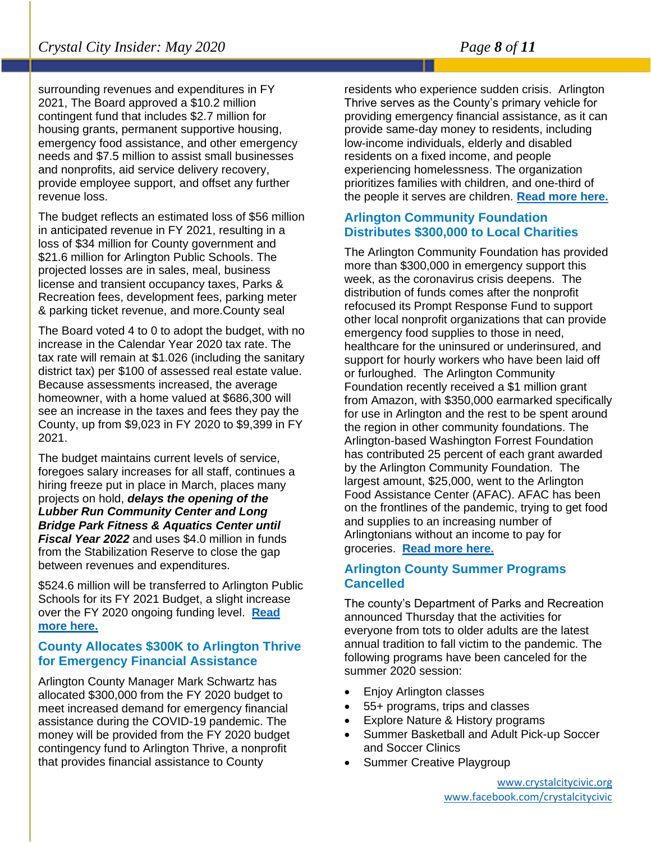surrounding revenues and expenditures in FY 2021, The Board approved a \$10.2 million contingent fund that includes \$2.7 million for housing grants, permanent supportive housing, emergency food assistance, and other emergency needs and \$7.5 million to assist small businesses and nonprofits, aid service delivery recovery, provide employee support, and offset any further revenue loss.

The budget reflects an estimated loss of \$56 million in anticipated revenue in FY 2021, resulting in a loss of \$34 million for County government and \$21.6 million for Arlington Public Schools. The projected losses are in sales, meal, business license and transient occupancy taxes, Parks & Recreation fees, development fees, parking meter & parking ticket revenue, and more.County seal

The Board voted 4 to 0 to adopt the budget, with no increase in the Calendar Year 2020 tax rate. The tax rate will remain at \$1.026 (including the sanitary district tax) per \$100 of assessed real estate value. Because assessments increased, the average homeowner, with a home valued at \$686,300 will see an increase in the taxes and fees they pay the County, up from \$9,023 in FY 2020 to \$9,399 in FY 2021.

The budget maintains current levels of service, foregoes salary increases for all staff, continues a hiring freeze put in place in March, places many projects on hold, *delays the opening of the Lubber Run Community Center and Long Bridge Park Fitness & Aquatics Center until Fiscal Year 2022* and uses \$4.0 million in funds from the Stabilization Reserve to close the gap between revenues and expenditures.

\$524.6 million will be transferred to Arlington Public Schools for its FY 2021 Budget, a slight increase over the FY 2020 ongoing funding level. **[Read](https://newsroom.arlingtonva.us/release/arlington-county-board-adopts-1-3-billion-fy-2021-budget/) [more here.](https://newsroom.arlingtonva.us/release/arlington-county-board-adopts-1-3-billion-fy-2021-budget/)**

#### **County Allocates \$300K to Arlington Thrive for Emergency Financial Assistance**

Arlington County Manager Mark Schwartz has allocated \$300,000 from the FY 2020 budget to meet increased demand for emergency financial assistance during the COVID-19 pandemic. The money will be provided from the FY 2020 budget contingency fund to Arlington Thrive, a nonprofit that provides financial assistance to County

residents who experience sudden crisis. Arlington Thrive serves as the County's primary vehicle for providing emergency financial assistance, as it can provide same-day money to residents, including low-income individuals, elderly and disabled residents on a fixed income, and people experiencing homelessness. The organization prioritizes families with children, and one-third of the people it serves are children. **[Read more here.](https://newsroom.arlingtonva.us/release/county-allocates-300k-to-arlington-thrive-for-emergency-financial-assistance/)**

#### **Arlington Community Foundation Distributes \$300,000 to Local Charities**

The Arlington Community Foundation has provided more than \$300,000 in emergency support this week, as the coronavirus crisis deepens. The distribution of funds comes after the nonprofit refocused its Prompt Response Fund to support other local nonprofit organizations that can provide emergency food supplies to those in need, healthcare for the uninsured or underinsured, and support for hourly workers who have been laid off or furloughed. The Arlington Community Foundation recently received a \$1 million grant from Amazon, with \$350,000 earmarked specifically for use in Arlington and the rest to be spent around the region in other community foundations. The Arlington-based Washington Forrest Foundation has contributed 25 percent of each grant awarded by the Arlington Community Foundation. The largest amount, \$25,000, went to the Arlington Food Assistance Center (AFAC). AFAC has been on the frontlines of the pandemic, trying to get food and supplies to an increasing number of Arlingtonians without an income to pay for groceries. **[Read more here.](https://www.arlnow.com/2020/04/01/arlington-community-foundation-distributes-300000-to-local-charities/?mc_cid=4ab63a1fc1&mc_eid=e22d65c5c2)**

#### **Arlington County Summer Programs Cancelled**

The county's Department of Parks and Recreation announced Thursday that the activities for everyone from tots to older adults are the latest annual tradition to fall victim to the pandemic. The following programs have been canceled for the summer 2020 session:

- Enjoy Arlington classes
- 55+ programs, trips and classes
- Explore Nature & History programs
- Summer Basketball and Adult Pick-up Soccer and Soccer Clinics
- Summer Creative Playgroup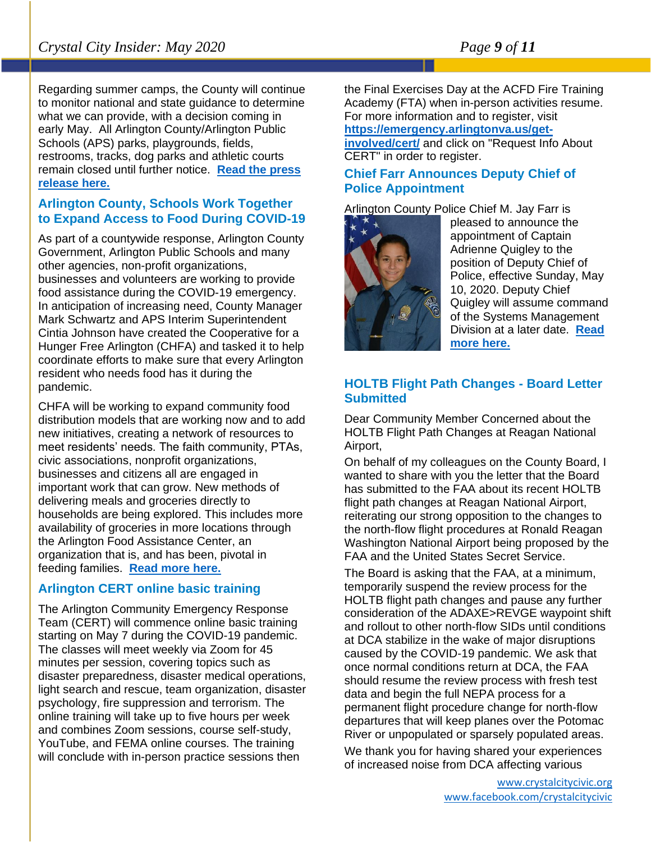Regarding summer camps, the County will continue to monitor national and state guidance to determine what we can provide, with a decision coming in early May. All Arlington County/Arlington Public Schools (APS) parks, playgrounds, fields, restrooms, tracks, dog parks and athletic courts remain closed until further notice. **[Read the press](https://newsroom.arlingtonva.us/release/arlington-parks-and-recreation-summer-programs-canceled/)  [release here.](https://newsroom.arlingtonva.us/release/arlington-parks-and-recreation-summer-programs-canceled/)**

#### **Arlington County, Schools Work Together to Expand Access to Food During COVID-19**

As part of a countywide response, Arlington County Government, Arlington Public Schools and many other agencies, non-profit organizations, businesses and volunteers are working to provide food assistance during the COVID-19 emergency. In anticipation of increasing need, County Manager Mark Schwartz and APS Interim Superintendent Cintia Johnson have created the Cooperative for a Hunger Free Arlington (CHFA) and tasked it to help coordinate efforts to make sure that every Arlington resident who needs food has it during the pandemic.

CHFA will be working to expand community food distribution models that are working now and to add new initiatives, creating a network of resources to meet residents' needs. The faith community, PTAs, civic associations, nonprofit organizations, businesses and citizens all are engaged in important work that can grow. New methods of delivering meals and groceries directly to households are being explored. This includes more availability of groceries in more locations through the Arlington Food Assistance Center, an organization that is, and has been, pivotal in feeding families. **[Read more here.](https://newsroom.arlingtonva.us/release/covid19-food-cooperative-hunger-free-arlington-chfa/)**

#### **Arlington CERT online basic training**

The Arlington Community Emergency Response Team (CERT) will commence online basic training starting on May 7 during the COVID-19 pandemic. The classes will meet weekly via Zoom for 45 minutes per session, covering topics such as disaster preparedness, disaster medical operations, light search and rescue, team organization, disaster psychology, fire suppression and terrorism. The online training will take up to five hours per week and combines Zoom sessions, course self-study, YouTube, and FEMA online courses. The training will conclude with in-person practice sessions then

the Final Exercises Day at the ACFD Fire Training Academy (FTA) when in-person activities resume. For more information and to register, visit **[https://emergency.arlingtonva.us/get-](https://emergency.arlingtonva.us/get-involved/cert/)**

**[involved/cert/](https://emergency.arlingtonva.us/get-involved/cert/)** and click on "Request Info About CERT" in order to register.

#### **Chief Farr Announces Deputy Chief of Police Appointment**

Arlington County Police Chief M. Jay Farr is



pleased to announce the appointment of Captain Adrienne Quigley to the position of Deputy Chief of Police, effective Sunday, May 10, 2020. Deputy Chief Quigley will assume command of the Systems Management Division at a later date. **[Read](https://newsroom.arlingtonva.us/release/chief-farr-announces-deputy-chief-of-police-appointment/)  [more here.](https://newsroom.arlingtonva.us/release/chief-farr-announces-deputy-chief-of-police-appointment/)**

#### **HOLTB Flight Path Changes - Board Letter Submitted**

Dear Community Member Concerned about the HOLTB Flight Path Changes at Reagan National Airport,

On behalf of my colleagues on the County Board, I wanted to share with you the letter that the Board has submitted to the FAA about its recent HOLTB flight path changes at Reagan National Airport, reiterating our strong opposition to the changes to the north-flow flight procedures at Ronald Reagan Washington National Airport being proposed by the FAA and the United States Secret Service.

The Board is asking that the FAA, at a minimum, temporarily suspend the review process for the HOLTB flight path changes and pause any further consideration of the ADAXE>REVGE waypoint shift and rollout to other north-flow SIDs until conditions at DCA stabilize in the wake of major disruptions caused by the COVID-19 pandemic. We ask that once normal conditions return at DCA, the FAA should resume the review process with fresh test data and begin the full NEPA process for a permanent flight procedure change for north-flow departures that will keep planes over the Potomac River or unpopulated or sparsely populated areas.

We thank you for having shared your experiences of increased noise from DCA affecting various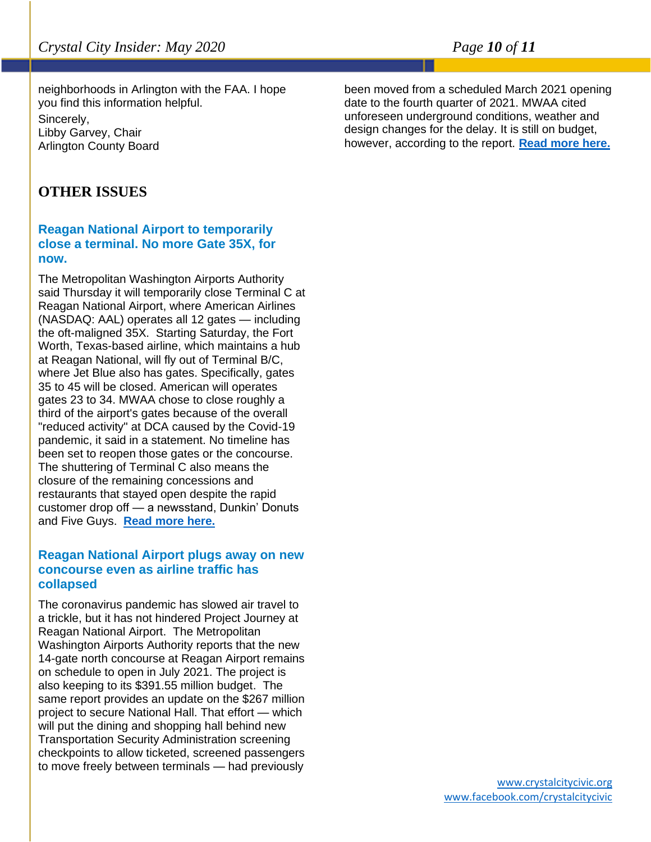neighborhoods in Arlington with the FAA. I hope you find this information helpful.

Sincerely, Libby Garvey, Chair Arlington County Board

#### **OTHER ISSUES**

#### **Reagan National Airport to temporarily close a terminal. No more Gate 35X, for now.**

The Metropolitan Washington Airports Authority said Thursday it will temporarily close Terminal C at Reagan National Airport, where American Airlines (NASDAQ: AAL) operates all 12 gates — including the oft-maligned 35X. Starting Saturday, the Fort Worth, Texas-based airline, which maintains a hub at Reagan National, will fly out of Terminal B/C, where Jet Blue also has gates. Specifically, gates 35 to 45 will be closed. American will operates gates 23 to 34. MWAA chose to close roughly a third of the airport's gates because of the overall "reduced activity" at DCA caused by the Covid-19 pandemic, it said in a statement. No timeline has been set to reopen those gates or the concourse. The shuttering of Terminal C also means the closure of the remaining concessions and restaurants that stayed open despite the rapid customer drop off — a newsstand, Dunkin' Donuts and Five Guys. **[Read more here.](https://www.bizjournals.com/washington/news/2020/04/30/reagan-national-airport-to-temporarily-close-a.html?ana=e_ae_set1&j=90506316&t=Afternoon&mkt_tok=eyJpIjoiWTJFeU9HVTNOakpqTVRrMyIsInQiOiJqbWlxTTRJMnBmTXNLR09La2FFck5oQlB3UXFvZDNiVkJObW9xS0V6UVQzSnNZcTkyelVUR3RBaTlyQ3pIc09MbHhNcUFjU3NvU2U2dFRTQWdCNERLcnVuOVFZNzJCcjZXT3YwMlJNTTZXaUJUamhGNWJVSFg0cEJDaVZ6Vkc4eiJ9)**

#### **Reagan National Airport plugs away on new concourse even as airline traffic has collapsed**

The coronavirus pandemic has slowed air travel to a trickle, but it has not hindered Project Journey at Reagan National Airport. The Metropolitan Washington Airports Authority reports that the new 14-gate north concourse at Reagan Airport remains on schedule to open in July 2021. The project is also keeping to its \$391.55 million budget. The same report provides an update on the \$267 million project to secure National Hall. That effort — which will put the dining and shopping hall behind new Transportation Security Administration screening checkpoints to allow ticketed, screened passengers to move freely between terminals — had previously

been moved from a scheduled March 2021 opening date to the fourth quarter of 2021. MWAA cited unforeseen underground conditions, weather and design changes for the delay. It is still on budget, however, according to the report. **[Read more here.](https://www.bizjournals.com/washington/news/2020/04/13/reagan-national-airport-plugs-away-on-new.html?ana=e_ae_set1&j=90503927&t=Afternoon&mkt_tok=eyJpIjoiTmpNMk1UZGhaVFJtTVRNMiIsInQiOiJkZnAxZE1vbm1ZYmtuYjFpb0d2MG02aU5pWXhleUUrKzBBOGxTeDZsTmlEazBrNWw0Zjd3bldyVGN1Z2cwQ3dnXC91aW1VZkN1Y3BqNk5naGhaMGRGSk1pRzJ4dEoxbWtLRjA2V3F0NFNuUWsrVU4rNXBtWGtVTVJNN1huSE5cL3FBIn0%3D)**